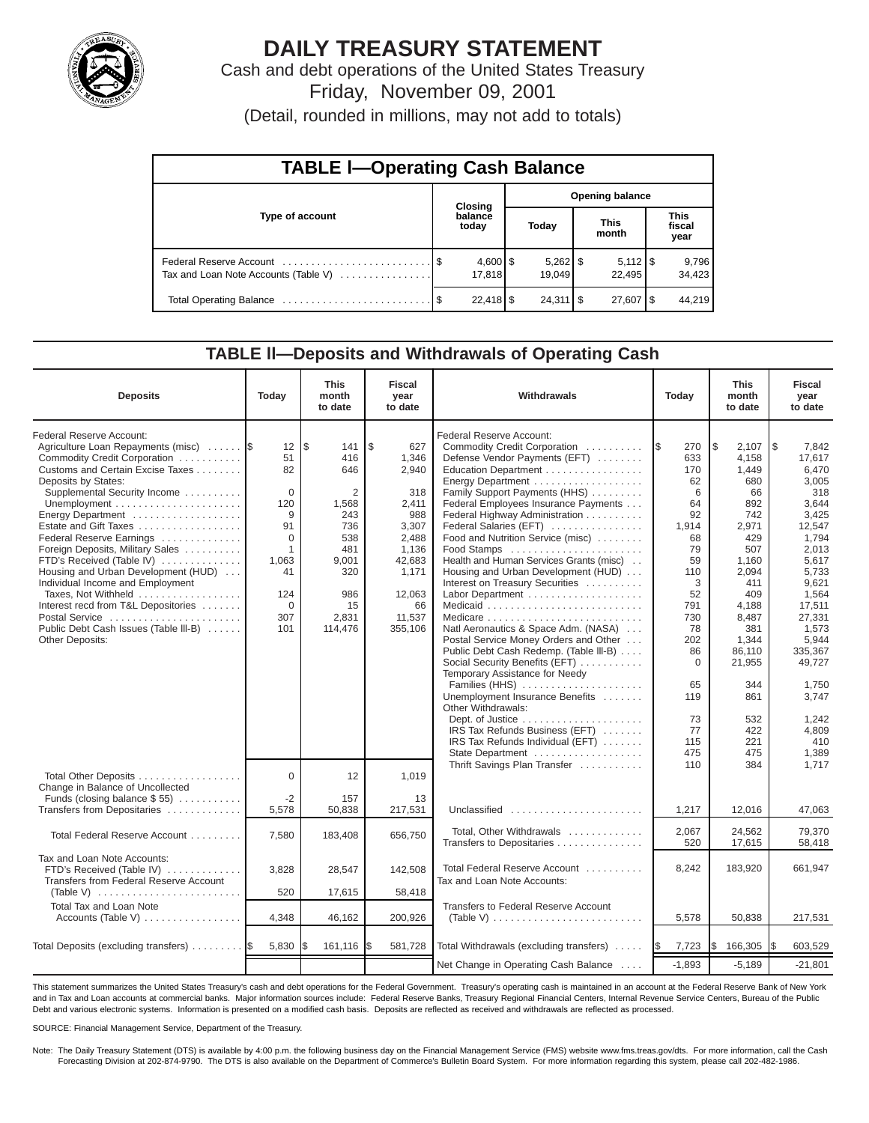

# **DAILY TREASURY STATEMENT**

Cash and debt operations of the United States Treasury Friday, November 09, 2001

(Detail, rounded in millions, may not add to totals)

| <b>TABLE I-Operating Cash Balance</b> |  |                                 |                        |                      |  |                              |  |                               |  |
|---------------------------------------|--|---------------------------------|------------------------|----------------------|--|------------------------------|--|-------------------------------|--|
|                                       |  | Closing                         | <b>Opening balance</b> |                      |  |                              |  |                               |  |
| Type of account                       |  | balance<br>today                |                        | Today                |  | <b>This</b><br>month         |  | <b>This</b><br>fiscal<br>year |  |
| Tax and Loan Note Accounts (Table V)  |  | $4,600$ $\frac{1}{3}$<br>17.818 |                        | $5,262$ \$<br>19.049 |  | $5,112$ $\sqrt{5}$<br>22.495 |  | 9,796<br>34,423               |  |
|                                       |  | $22,418$ \$                     |                        | $24,311$ $\sqrt{5}$  |  | $27,607$ $\frac{8}{3}$       |  | 44.219                        |  |

#### **TABLE ll—Deposits and Withdrawals of Operating Cash**

| <b>Deposits</b>                                                                                                                                                                                                                                                                                                                                                                                                                                                                                                                                             | Today                                                                                                               | <b>This</b><br>month<br>to date                                                                                     | <b>Fiscal</b><br>year<br>to date                                                                                                      | Withdrawals<br>Today                                                                                                                                                                                                                                                                                                                                                                                                                                                                                                                                                                                                                                                    |                                                                                                                                    | <b>This</b><br>month<br>to date                                                                                                                                        | <b>Fiscal</b><br>year<br>to date                                                                                                                                                              |
|-------------------------------------------------------------------------------------------------------------------------------------------------------------------------------------------------------------------------------------------------------------------------------------------------------------------------------------------------------------------------------------------------------------------------------------------------------------------------------------------------------------------------------------------------------------|---------------------------------------------------------------------------------------------------------------------|---------------------------------------------------------------------------------------------------------------------|---------------------------------------------------------------------------------------------------------------------------------------|-------------------------------------------------------------------------------------------------------------------------------------------------------------------------------------------------------------------------------------------------------------------------------------------------------------------------------------------------------------------------------------------------------------------------------------------------------------------------------------------------------------------------------------------------------------------------------------------------------------------------------------------------------------------------|------------------------------------------------------------------------------------------------------------------------------------|------------------------------------------------------------------------------------------------------------------------------------------------------------------------|-----------------------------------------------------------------------------------------------------------------------------------------------------------------------------------------------|
| Federal Reserve Account:<br>Agriculture Loan Repayments (misc)<br>Commodity Credit Corporation<br>Customs and Certain Excise Taxes<br>Deposits by States:<br>Supplemental Security Income<br>Energy Department<br>Estate and Gift Taxes<br>Federal Reserve Earnings<br>Foreign Deposits, Military Sales<br>FTD's Received (Table IV)<br>Housing and Urban Development (HUD)<br>Individual Income and Employment<br>Taxes, Not Withheld<br>Interest recd from T&L Depositories<br>Postal Service<br>Public Debt Cash Issues (Table III-B)<br>Other Deposits: | 12<br>51<br>82<br>$\mathbf 0$<br>120<br>9<br>91<br>$\Omega$<br>1<br>1,063<br>41<br>124<br>$\mathbf 0$<br>307<br>101 | l\$<br>141<br>416<br>646<br>2<br>1,568<br>243<br>736<br>538<br>481<br>9,001<br>320<br>986<br>15<br>2,831<br>114,476 | \$<br>627<br>1,346<br>2,940<br>318<br>2,411<br>988<br>3,307<br>2,488<br>1,136<br>42,683<br>1,171<br>12,063<br>66<br>11,537<br>355,106 | Federal Reserve Account:<br>Commodity Credit Corporation<br>Defense Vendor Payments (EFT)<br>Education Department<br>Energy Department<br>Family Support Payments (HHS)<br>Federal Employees Insurance Payments<br>Federal Highway Administration<br>Federal Salaries (EFT)<br>Food and Nutrition Service (misc)<br>Food Stamps<br>Health and Human Services Grants (misc)<br>Housing and Urban Development (HUD)<br>Interest on Treasury Securities<br>Labor Department<br>Natl Aeronautics & Space Adm. (NASA)<br>Postal Service Money Orders and Other<br>Public Debt Cash Redemp. (Table III-B)<br>Social Security Benefits (EFT)<br>Temporary Assistance for Needy | 270<br>I\$<br>633<br>170<br>62<br>6<br>64<br>92<br>1,914<br>68<br>79<br>59<br>110<br>3<br>52<br>791<br>730<br>78<br>202<br>86<br>0 | l\$<br>2,107<br>4,158<br>1,449<br>680<br>66<br>892<br>742<br>2,971<br>429<br>507<br>1,160<br>2,094<br>411<br>409<br>4,188<br>8,487<br>381<br>1,344<br>86,110<br>21,955 | l \$<br>7.842<br>17,617<br>6,470<br>3,005<br>318<br>3,644<br>3,425<br>12,547<br>1,794<br>2,013<br>5,617<br>5,733<br>9,621<br>1,564<br>17,511<br>27,331<br>1,573<br>5,944<br>335,367<br>49,727 |
|                                                                                                                                                                                                                                                                                                                                                                                                                                                                                                                                                             |                                                                                                                     |                                                                                                                     |                                                                                                                                       | Families (HHS)<br>Unemployment Insurance Benefits<br>Other Withdrawals:<br>IRS Tax Refunds Business (EFT)<br>IRS Tax Refunds Individual (EFT)<br>State Department                                                                                                                                                                                                                                                                                                                                                                                                                                                                                                       | 65<br>119<br>73<br>77<br>115<br>475                                                                                                | 344<br>861<br>532<br>422<br>221<br>475                                                                                                                                 | 1,750<br>3.747<br>1,242<br>4.809<br>410<br>1,389                                                                                                                                              |
| Total Other Deposits<br>Change in Balance of Uncollected<br>Funds (closing balance \$55)                                                                                                                                                                                                                                                                                                                                                                                                                                                                    | $\Omega$<br>$-2$                                                                                                    | 12<br>157                                                                                                           | 1,019<br>13                                                                                                                           | Thrift Savings Plan Transfer                                                                                                                                                                                                                                                                                                                                                                                                                                                                                                                                                                                                                                            | 110                                                                                                                                | 384                                                                                                                                                                    | 1.717                                                                                                                                                                                         |
| Transfers from Depositaries<br>Total Federal Reserve Account                                                                                                                                                                                                                                                                                                                                                                                                                                                                                                | 5,578<br>7,580                                                                                                      | 50,838<br>183,408                                                                                                   | 217,531<br>656,750                                                                                                                    | Unclassified<br>Total, Other Withdrawals<br>Transfers to Depositaries                                                                                                                                                                                                                                                                                                                                                                                                                                                                                                                                                                                                   | 1,217<br>2,067<br>520                                                                                                              | 12,016<br>24.562<br>17,615                                                                                                                                             | 47,063<br>79.370<br>58,418                                                                                                                                                                    |
| Tax and Loan Note Accounts:<br>FTD's Received (Table IV)<br>Transfers from Federal Reserve Account<br>(Table V) $\ldots \ldots \ldots \ldots \ldots \ldots \ldots$                                                                                                                                                                                                                                                                                                                                                                                          | 3,828<br>520                                                                                                        | 28,547<br>17,615                                                                                                    | 142,508<br>58,418                                                                                                                     | Total Federal Reserve Account<br>Tax and Loan Note Accounts:                                                                                                                                                                                                                                                                                                                                                                                                                                                                                                                                                                                                            | 8,242                                                                                                                              | 183,920                                                                                                                                                                | 661,947                                                                                                                                                                                       |
| Total Tax and Loan Note<br>Accounts (Table V)                                                                                                                                                                                                                                                                                                                                                                                                                                                                                                               | 4,348                                                                                                               | 46,162                                                                                                              | 200,926                                                                                                                               | Transfers to Federal Reserve Account<br>(Table V) $\ldots \ldots \ldots \ldots \ldots \ldots \ldots \ldots$                                                                                                                                                                                                                                                                                                                                                                                                                                                                                                                                                             | 5,578                                                                                                                              | 50,838                                                                                                                                                                 | 217,531                                                                                                                                                                                       |
| Total Deposits (excluding transfers)                                                                                                                                                                                                                                                                                                                                                                                                                                                                                                                        | 5,830                                                                                                               | 161,116                                                                                                             | 581,728<br>l\$                                                                                                                        | Total Withdrawals (excluding transfers)                                                                                                                                                                                                                                                                                                                                                                                                                                                                                                                                                                                                                                 | 7,723<br><b>1\$</b>                                                                                                                | \$<br>166,305                                                                                                                                                          | 603,529<br>I\$                                                                                                                                                                                |
|                                                                                                                                                                                                                                                                                                                                                                                                                                                                                                                                                             |                                                                                                                     |                                                                                                                     |                                                                                                                                       | Net Change in Operating Cash Balance                                                                                                                                                                                                                                                                                                                                                                                                                                                                                                                                                                                                                                    | $-1,893$                                                                                                                           | $-5,189$                                                                                                                                                               | $-21,801$                                                                                                                                                                                     |

This statement summarizes the United States Treasury's cash and debt operations for the Federal Government. Treasury's operating cash is maintained in an account at the Federal Reserve Bank of New York and in Tax and Loan accounts at commercial banks. Major information sources include: Federal Reserve Banks, Treasury Regional Financial Centers, Internal Revenue Service Centers, Bureau of the Public Debt and various electronic systems. Information is presented on a modified cash basis. Deposits are reflected as received and withdrawals are reflected as processed.

SOURCE: Financial Management Service, Department of the Treasury.

Note: The Daily Treasury Statement (DTS) is available by 4:00 p.m. the following business day on the Financial Management Service (FMS) website www.fms.treas.gov/dts. For more information, call the Cash Forecasting Division at 202-874-9790. The DTS is also available on the Department of Commerce's Bulletin Board System. For more information regarding this system, please call 202-482-1986.